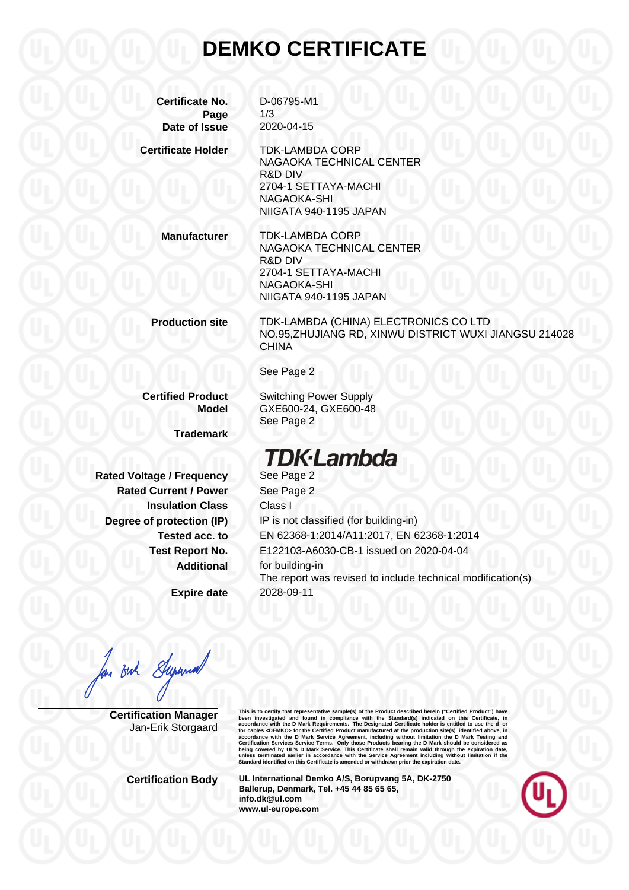## **DEMKO CERTIFICATE**

**Certificate No.** D-06795-M1 **Page** 1/3 **Date of Issue** 2020-04-15

**Certificate Holder** TDK-LAMBDA CORP

NAGAOKA TECHNICAL CENTER R&D DIV 2704-1 SETTAYA-MACHI NAGAOKA-SHI NIIGATA 940-1195 JAPAN

**Manufacturer** TDK-LAMBDA CORP NAGAOKA TECHNICAL CENTER R&D DIV 2704-1 SETTAYA-MACHI NAGAOKA-SHI NIIGATA 940-1195 JAPAN

**Production site** TDK-LAMBDA (CHINA) ELECTRONICS CO LTD NO.95,ZHUJIANG RD, XINWU DISTRICT WUXI JIANGSU 214028 **CHINA** 

See Page 2

**Certified Product** Switching Power Supply **Model** GXE600-24, GXE600-48

**Trademark**

**Rated Voltage / Frequency See Page 2 Rated Current / Power** See Page 2 **Insulation Class** Class I

**Expire date** 2028-09-11

See Page 2

## **TDK**·Lambda

**Degree of protection (IP)** IP is not classified (for building-in) **Tested acc. to** EN 62368-1:2014/A11:2017, EN 62368-1:2014 **Test Report No.** E122103-A6030-CB-1 issued on 2020-04-04 **Additional** for building-in The report was revised to include technical modification(s)

long Buch Supermall

**Certification Manager** Jan-Erik Storgaard This is to certify that representative sample(s) of the Product described herein ("Certifical Product") have<br>been investigated and found in compliance with the Standard(s) indicated on this Certificate, in<br>accordance with

**Certification Body UL International Demko A/S, Borupvang 5A, DK-2750 Ballerup, Denmark, Tel. +45 44 85 65 65, info.dk@ul.com www.ul-europe.com**

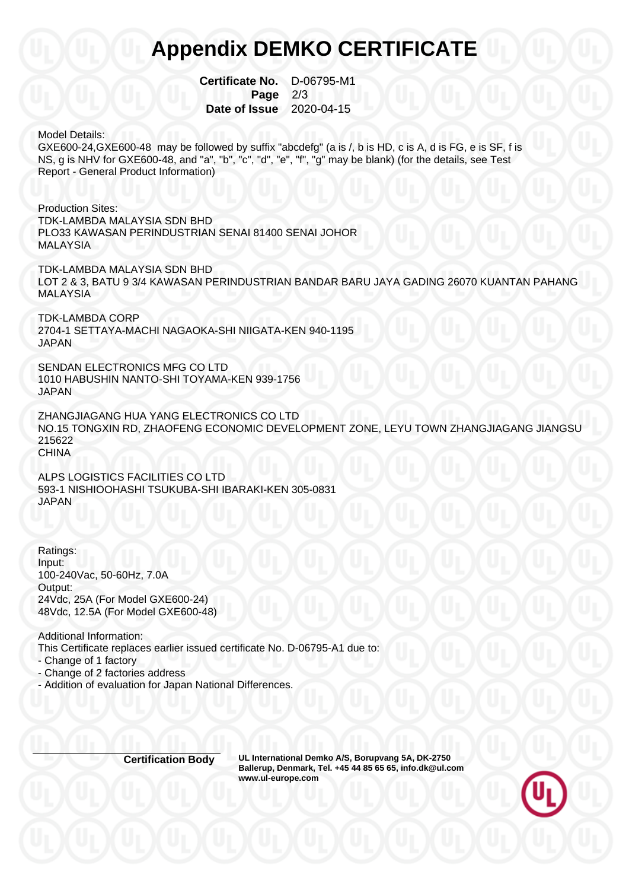## **Appendix DEMKO CERTIFICATE**

**Certificate No.** D-06795-M1 **Page 2/3 Date of Issue** 2020-04-15

Model Details:

GXE600-24,GXE600-48 may be followed by suffix "abcdefg" (a is /, b is HD, c is A, d is FG, e is SF, f is NS, g is NHV for GXE600-48, and "a", "b", "c", "d", "e", "f", "g" may be blank) (for the details, see Test Report - General Product Information)

Production Sites: TDK-LAMBDA MALAYSIA SDN BHD PLO33 KAWASAN PERINDUSTRIAN SENAI 81400 SENAI JOHOR MALAYSIA

TDK-LAMBDA MALAYSIA SDN BHD LOT 2 & 3, BATU 9 3/4 KAWASAN PERINDUSTRIAN BANDAR BARU JAYA GADING 26070 KUANTAN PAHANG MALAYSIA

TDK-LAMBDA CORP 2704-1 SETTAYA-MACHI NAGAOKA-SHI NIIGATA-KEN 940-1195 JAPAN

SENDAN ELECTRONICS MFG CO LTD 1010 HABUSHIN NANTO-SHI TOYAMA-KEN 939-1756 JAPAN

ZHANGJIAGANG HUA YANG ELECTRONICS CO LTD NO.15 TONGXIN RD, ZHAOFENG ECONOMIC DEVELOPMENT ZONE, LEYU TOWN ZHANGJIAGANG JIANGSU 215622 **CHINA** 

ALPS LOGISTICS FACILITIES CO LTD 593-1 NISHIOOHASHI TSUKUBA-SHI IBARAKI-KEN 305-0831 JAPAN

Ratings: Input: 100-240Vac, 50-60Hz, 7.0A Output: 24Vdc, 25A (For Model GXE600-24) 48Vdc, 12.5A (For Model GXE600-48)

Additional Information: This Certificate replaces earlier issued certificate No. D-06795-A1 due to:

- Change of 1 factory

- Change of 2 factories address

- Addition of evaluation for Japan National Differences.

**Certification Body UL International Demko A/S, Borupvang 5A, DK-2750 Ballerup, Denmark, Tel. +45 44 85 65 65, info.dk@ul.com www.ul-europe.com**